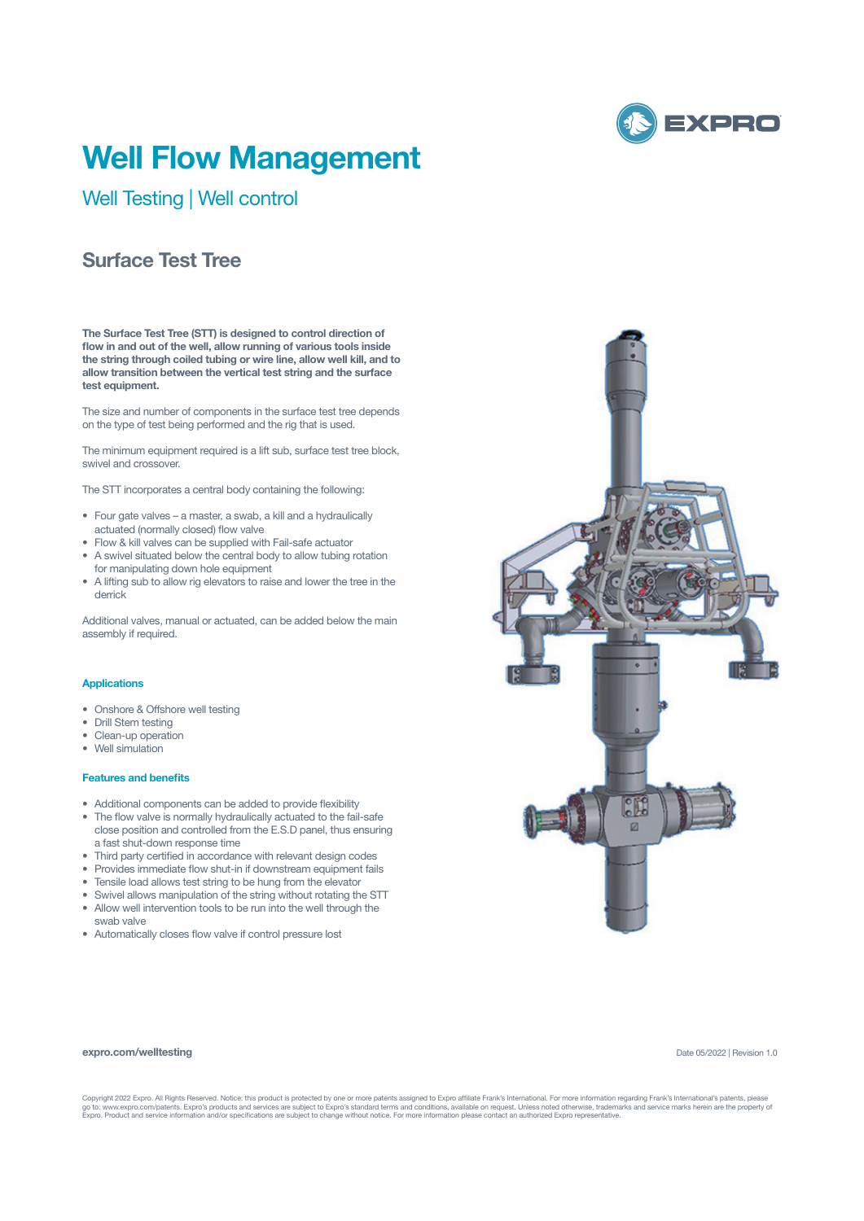

# **Well Flow Management**

Well Testing | Well control

## **Surface Test Tree**

**The Surface Test Tree (STT) is designed to control direction of flow in and out of the well, allow running of various tools inside the string through coiled tubing or wire line, allow well kill, and to allow transition between the vertical test string and the surface test equipment.** 

The size and number of components in the surface test tree depends on the type of test being performed and the rig that is used.

The minimum equipment required is a lift sub, surface test tree block, swivel and crossover.

The STT incorporates a central body containing the following:

- Four gate valves a master, a swab, a kill and a hydraulically actuated (normally closed) flow valve
- Flow & kill valves can be supplied with Fail-safe actuator
- A swivel situated below the central body to allow tubing rotation for manipulating down hole equipment
- A lifting sub to allow rig elevators to raise and lower the tree in the derrick

Additional valves, manual or actuated, can be added below the main assembly if required.

## **Applications**

- Onshore & Offshore well testing
- Drill Stem testing
- Clean-up operation
- Well simulation

### **Features and benefits**

- Additional components can be added to provide flexibility
- The flow valve is normally hydraulically actuated to the fail-safe close position and controlled from the E.S.D panel, thus ensuring a fast shut-down response time
- Third party certified in accordance with relevant design codes
- Provides immediate flow shut-in if downstream equipment fails
- Tensile load allows test string to be hung from the elevator
- Swivel allows manipulation of the string without rotating the STT
- Allow well intervention tools to be run into the well through the swab valve
- Automatically closes flow valve if control pressure lost



#### **expro.com/welltesting**

Date 05/2022 | Revision 1.0

Copyright 2022 Expro. All Rights Reserved. Notice: this product is protected by one or more patents assigned to Expro affiliate Frank's International. For more information regarding Frank's International's patents, please<br>